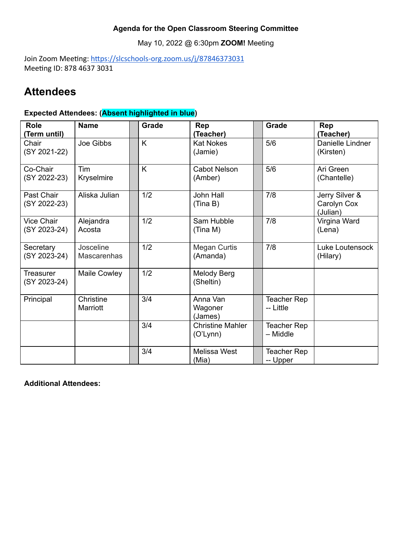### **Agenda for the Open Classroom Steering Committee**

May 10, 2022 @ 6:30pm **ZOOM!** Meeting

Join Zoom Meeting: https://slcschools-org.zoom.us/j/87846373031 Meeting ID: 878 4637 3031

## **Attendees**

### **Expected Attendees: (Absent highlighted in blue)**

| <b>Role</b><br>(Term until)       | <b>Name</b>                     | Grade | <b>Rep</b><br>(Teacher)             | Grade                           | <b>Rep</b><br>(Teacher)                   |
|-----------------------------------|---------------------------------|-------|-------------------------------------|---------------------------------|-------------------------------------------|
| Chair<br>(SY 2021-22)             | Joe Gibbs                       | K     | <b>Kat Nokes</b><br>(Jamie)         | 5/6                             | Danielle Lindner<br>(Kirsten)             |
| Co-Chair<br>(SY 2022-23)          | Tim<br>Kryselmire               | K     | Cabot Nelson<br>(Amber)             | 5/6                             | Ari Green<br>(Chantelle)                  |
| Past Chair<br>(SY 2022-23)        | Aliska Julian                   | 1/2   | <b>John Hall</b><br>(Tina B)        | 7/8                             | Jerry Silver &<br>Carolyn Cox<br>(Julian) |
| <b>Vice Chair</b><br>(SY 2023-24) | Alejandra<br>Acosta             | 1/2   | Sam Hubble<br>(Tina M)              | 7/8                             | Virgina Ward<br>(Lena)                    |
| Secretary<br>(SY 2023-24)         | Josceline<br><b>Mascarenhas</b> | 1/2   | Megan Curtis<br>(Amanda)            | 7/8                             | Luke Loutensock<br>(Hilary)               |
| Treasurer<br>(SY 2023-24)         | Maile Cowley                    | 1/2   | Melody Berg<br>(Sheltin)            |                                 |                                           |
| Principal                         | Christine<br>Marriott           | 3/4   | Anna Van<br>Wagoner<br>(James)      | <b>Teacher Rep</b><br>-- Little |                                           |
|                                   |                                 | 3/4   | <b>Christine Mahler</b><br>(O'Lynn) | Teacher Rep<br>- Middle         |                                           |
|                                   |                                 | 3/4   | <b>Melissa West</b><br>(Mia)        | <b>Teacher Rep</b><br>-- Upper  |                                           |

**Additional Attendees:**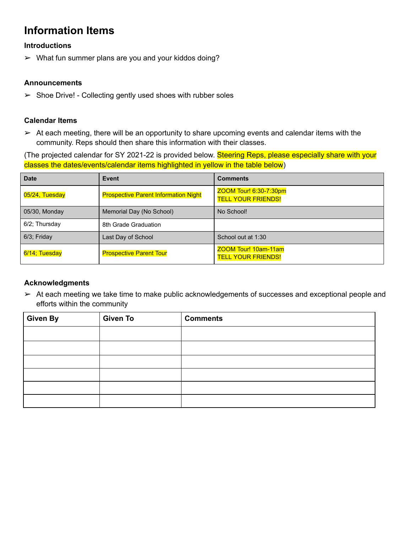## **Information Items**

#### **Introductions**

 $\triangleright$  What fun summer plans are you and your kiddos doing?

#### **Announcements**

 $\triangleright$  Shoe Drive! - Collecting gently used shoes with rubber soles

#### **Calendar Items**

 $\triangleright$  At each meeting, there will be an opportunity to share upcoming events and calendar items with the community. Reps should then share this information with their classes.

(The projected calendar for SY 2021-22 is provided below. Steering Reps, please especially share with your classes the dates/events/calendar items highlighted in yellow in the table below)

| <b>Date</b>                              | <b>Event</b>                                | <b>Comments</b>                                     |  |  |
|------------------------------------------|---------------------------------------------|-----------------------------------------------------|--|--|
| 05/24, Tuesday                           | <b>Prospective Parent Information Night</b> | ZOOM Tour! 6:30-7:30pm<br><b>TELL YOUR FRIENDS!</b> |  |  |
| 05/30, Monday                            | Memorial Day (No School)                    | No School!                                          |  |  |
| $6/2$ ; Thursday<br>8th Grade Graduation |                                             |                                                     |  |  |
| $6/3$ ; Friday<br>Last Day of School     |                                             | School out at 1:30                                  |  |  |
| 6/14; Tuesday                            | <b>Prospective Parent Tour</b>              | ZOOM Tour! 10am-11am<br><b>TELL YOUR FRIENDS!</b>   |  |  |

#### **Acknowledgments**

➢ At each meeting we take time to make public acknowledgements of successes and exceptional people and efforts within the community

| <b>Given By</b> | <b>Given To</b> | <b>Comments</b> |
|-----------------|-----------------|-----------------|
|                 |                 |                 |
|                 |                 |                 |
|                 |                 |                 |
|                 |                 |                 |
|                 |                 |                 |
|                 |                 |                 |